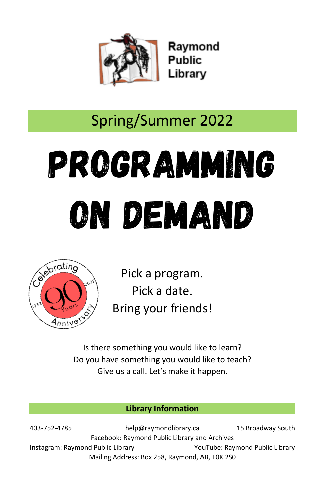

Raymond **Public** Library

# Spring/Summer 2022

# Programming On Demand



Pick a program. Pick a date. Bring your friends!

Is there something you would like to learn? Do you have something you would like to teach? Give us a call. Let's make it happen.

#### **Library Information**

403-752-4785 help@raymondlibrary.ca 15 Broadway South Facebook: Raymond Public Library and Archives Instagram: Raymond Public Library YouTube: Raymond Public Library Mailing Address: Box 258, Raymond, AB, T0K 2S0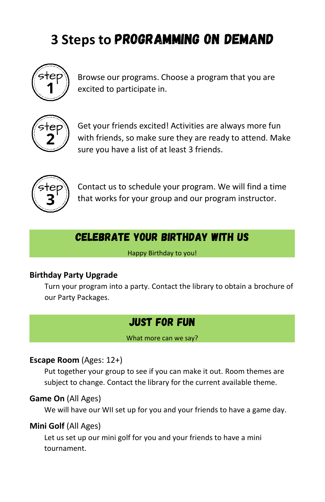# **3 Steps to** Programming on Demand



Browse our programs. Choose a program that you are excited to participate in.



Get your friends excited! Activities are always more fun with friends, so make sure they are ready to attend. Make sure you have a list of at least 3 friends.



Contact us to schedule your program. We will find a time that works for your group and our program instructor.

# Celebrate your Birthday with us

Happy Birthday to you!

#### **Birthday Party Upgrade**

 Turn your program into a party. Contact the library to obtain a brochure of our Party Packages.

# Just for Fun

What more can we say?

#### **Escape Room** (Ages: 12+)

Put together your group to see if you can make it out. Room themes are subject to change. Contact the library for the current available theme.

#### **Game On** (All Ages)

We will have our WII set up for you and your friends to have a game day.

#### **Mini Golf** (All Ages)

Let us set up our mini golf for you and your friends to have a mini tournament.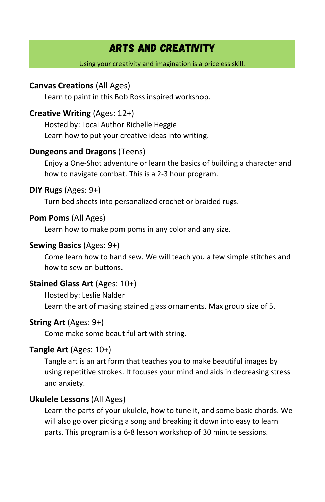# Arts and Creativity

#### Using your creativity and imagination is a priceless skill.

#### **Canvas Creations** (All Ages)

Learn to paint in this Bob Ross inspired workshop.

#### **Creative Writing** (Ages: 12+)

Hosted by: Local Author Richelle Heggie Learn how to put your creative ideas into writing.

#### **Dungeons and Dragons** (Teens)

Enjoy a One-Shot adventure or learn the basics of building a character and how to navigate combat. This is a 2-3 hour program.

#### **DIY Rugs** (Ages: 9+)

Turn bed sheets into personalized crochet or braided rugs.

#### **Pom Poms** (All Ages)

Learn how to make pom poms in any color and any size.

#### **Sewing Basics** (Ages: 9+)

Come learn how to hand sew. We will teach you a few simple stitches and how to sew on buttons.

#### **Stained Glass Art** (Ages: 10+)

Hosted by: Leslie Nalder Learn the art of making stained glass ornaments. Max group size of 5.

#### **String Art** (Ages: 9+)

Come make some beautiful art with string.

#### **Tangle Art** (Ages: 10+)

Tangle art is an art form that teaches you to make beautiful images by using repetitive strokes. It focuses your mind and aids in decreasing stress and anxiety.

#### **Ukulele Lessons** (All Ages)

Learn the parts of your ukulele, how to tune it, and some basic chords. We will also go over picking a song and breaking it down into easy to learn parts. This program is a 6-8 lesson workshop of 30 minute sessions.